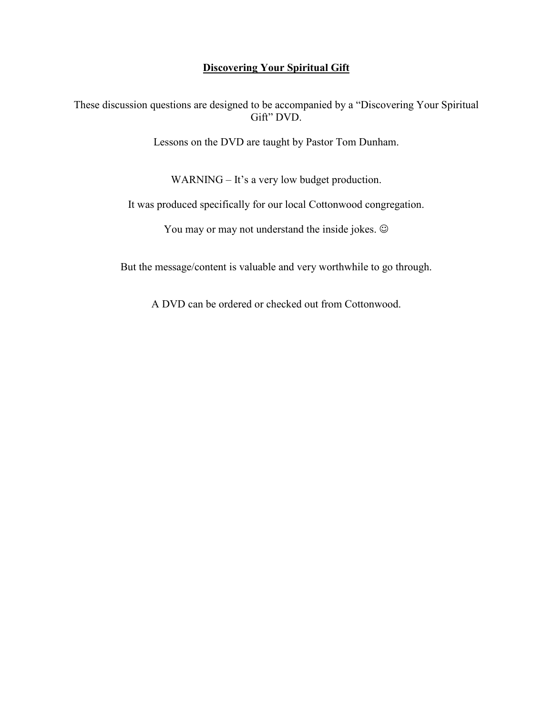# **Discovering Your Spiritual Gift**

These discussion questions are designed to be accompanied by a "Discovering Your Spiritual Gift" DVD.

Lessons on the DVD are taught by Pastor Tom Dunham.

WARNING – It's a very low budget production.

It was produced specifically for our local Cottonwood congregation.

You may or may not understand the inside jokes.  $\odot$ 

But the message/content is valuable and very worthwhile to go through.

A DVD can be ordered or checked out from Cottonwood.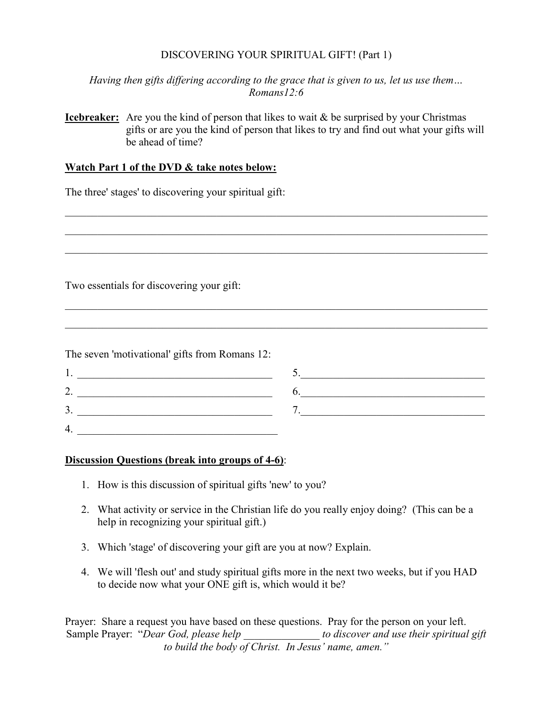# DISCOVERING YOUR SPIRITUAL GIFT! (Part 1)

*Having then gifts differing according to the grace that is given to us, let us use them… Romans12:6* 

**Icebreaker:** Are you the kind of person that likes to wait & be surprised by your Christmas gifts or are you the kind of person that likes to try and find out what your gifts will be ahead of time?

 $\_$  , and the contribution of the contribution of  $\mathcal{L}_1$  , and  $\mathcal{L}_2$  , and  $\mathcal{L}_3$  , and  $\mathcal{L}_4$  , and  $\mathcal{L}_5$ 

 $\_$  , and the contribution of the contribution of  $\mathcal{L}_1$  , and  $\mathcal{L}_2$  , and  $\mathcal{L}_3$  , and  $\mathcal{L}_4$  , and  $\mathcal{L}_5$ 

 $\_$  , and the contribution of the contribution of  $\mathcal{L}_1$  , and  $\mathcal{L}_2$  , and  $\mathcal{L}_3$  , and  $\mathcal{L}_4$  , and  $\mathcal{L}_5$ 

 $\_$  , and the contribution of the contribution of  $\mathcal{L}_1$  , and  $\mathcal{L}_2$  , and  $\mathcal{L}_3$  , and  $\mathcal{L}_4$  , and  $\mathcal{L}_5$ 

 $\_$  , and the contribution of the contribution of  $\mathcal{L}_1$  , and  $\mathcal{L}_2$  , and  $\mathcal{L}_3$  , and  $\mathcal{L}_4$  , and  $\mathcal{L}_5$ 

#### **Watch Part 1 of the DVD & take notes below:**

The three' stages' to discovering your spiritual gift:

Two essentials for discovering your gift:

The seven 'motivational' gifts from Romans 12:

| ◠<br><u>.</u> |  |
|---------------|--|
| <u>.</u>      |  |
|               |  |

# **Discussion Questions (break into groups of 4-6)**:

- 1. How is this discussion of spiritual gifts 'new' to you?
- 2. What activity or service in the Christian life do you really enjoy doing? (This can be a help in recognizing your spiritual gift.)
- 3. Which 'stage' of discovering your gift are you at now? Explain.
- 4. We will 'flesh out' and study spiritual gifts more in the next two weeks, but if you HAD to decide now what your ONE gift is, which would it be?

Prayer: Share a request you have based on these questions. Pray for the person on your left. Sample Prayer: "*Dear God, please help* \_\_\_\_\_\_\_\_\_\_\_\_\_\_ to discover and use their spiritual gift **s** *to build the body of Christ. In Jesus' name, amen."*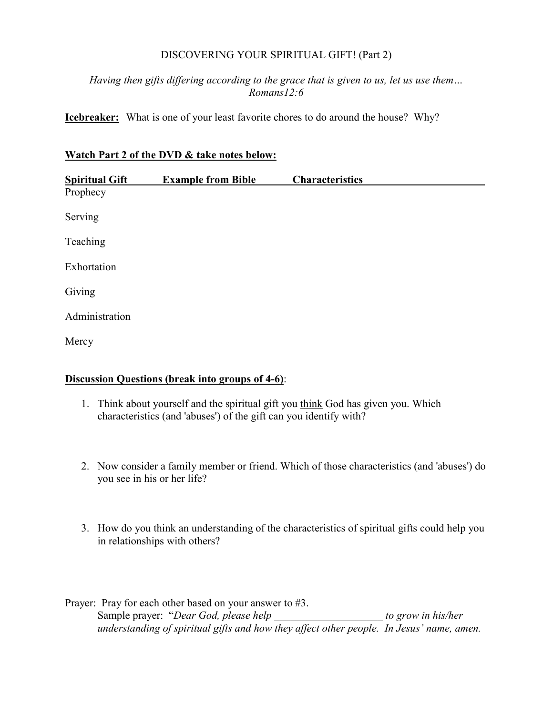# DISCOVERING YOUR SPIRITUAL GIFT! (Part 2)

# *Having then gifts differing according to the grace that is given to us, let us use them… Romans12:6*

**Icebreaker:** What is one of your least favorite chores to do around the house? Why?

| <b>Spiritual Gift</b> | <b>Example from Bible</b> | <b>Characteristics</b> |  |
|-----------------------|---------------------------|------------------------|--|
| Prophecy              |                           |                        |  |
| Serving               |                           |                        |  |
| Teaching              |                           |                        |  |
| Exhortation           |                           |                        |  |
| Giving                |                           |                        |  |
| Administration        |                           |                        |  |
| Mercy                 |                           |                        |  |

# **Watch Part 2 of the DVD & take notes below:**

#### **Discussion Questions (break into groups of 4-6)**:

- 1. Think about yourself and the spiritual gift you think God has given you. Which characteristics (and 'abuses') of the gift can you identify with?
- 2. Now consider a family member or friend. Which of those characteristics (and 'abuses') do you see in his or her life?
- 3. How do you think an understanding of the characteristics of spiritual gifts could help you in relationships with others?

Prayer: Pray for each other based on your answer to #3. Sample prayer: "*Dear God, please help* to grow in his/her *understanding of spiritual gifts and how they affect other people. In Jesus' name, amen.*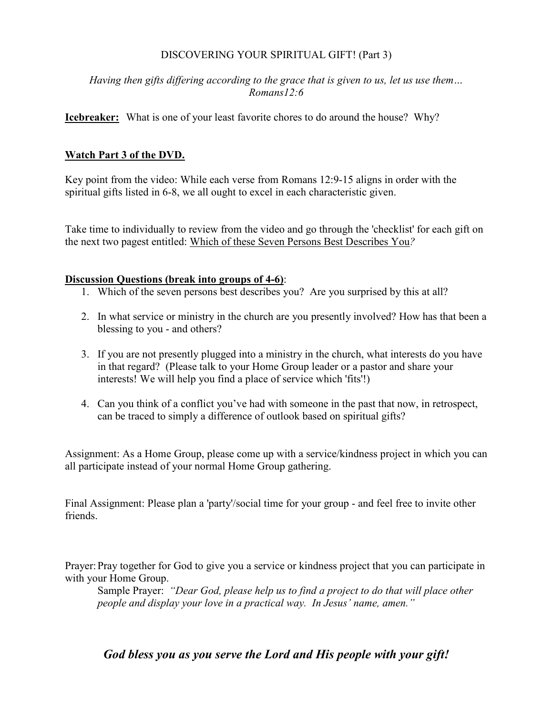# DISCOVERING YOUR SPIRITUAL GIFT! (Part 3)

*Having then gifts differing according to the grace that is given to us, let us use them… Romans12:6* 

**Icebreaker:** What is one of your least favorite chores to do around the house? Why?

## **Watch Part 3 of the DVD.**

Key point from the video: While each verse from Romans 12:9-15 aligns in order with the spiritual gifts listed in 6-8, we all ought to excel in each characteristic given.

Take time to individually to review from the video and go through the 'checklist' for each gift on the next two pagest entitled: Which of these Seven Persons Best Describes You*?* 

#### **Discussion Questions (break into groups of 4-6)**:

- 1. Which of the seven persons best describes you? Are you surprised by this at all?
- 2. In what service or ministry in the church are you presently involved? How has that been a blessing to you - and others?
- 3. If you are not presently plugged into a ministry in the church, what interests do you have in that regard? (Please talk to your Home Group leader or a pastor and share your interests! We will help you find a place of service which 'fits'!)
- 4. Can you think of a conflict you've had with someone in the past that now, in retrospect, can be traced to simply a difference of outlook based on spiritual gifts?

Assignment: As a Home Group, please come up with a service/kindness project in which you can all participate instead of your normal Home Group gathering.

Final Assignment: Please plan a 'party'/social time for your group - and feel free to invite other friends.

Prayer: Pray together for God to give you a service or kindness project that you can participate in with your Home Group.

Sample Prayer: *"Dear God, please help us to find a project to do that will place other people and display your love in a practical way. In Jesus' name, amen."* 

*God bless you as you serve the Lord and His people with your gift!*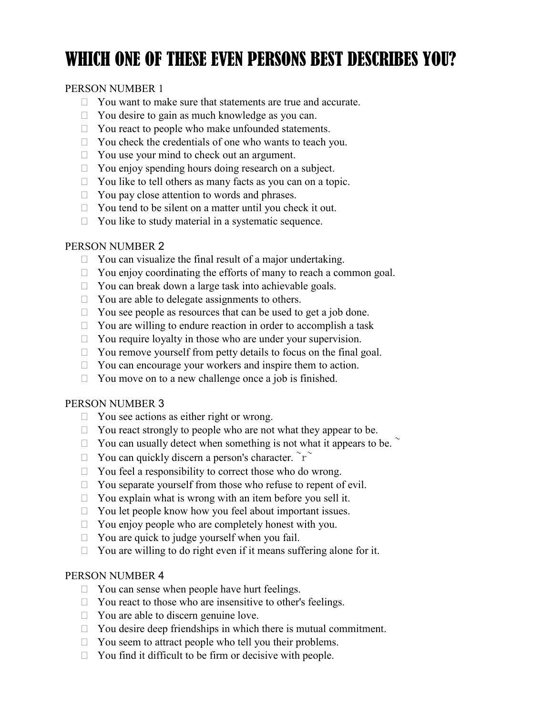# WHICH ONE OF THESE EVEN PERSONS BEST DESCRIBES YOU?

#### PERSON NUMBER 1

 You want to make sure that statements are true and accurate. You desire to gain as much knowledge as you can. You react to people who make unfounded statements. You check the credentials of one who wants to teach you. You use your mind to check out an argument. You enjoy spending hours doing research on a subject. You like to tell others as many facts as you can on a topic. You pay close attention to words and phrases. You tend to be silent on a matter until you check it out. You like to study material in a systematic sequence.

#### PERSON NUMBER 2

 You can visualize the final result of a major undertaking. You enjoy coordinating the efforts of many to reach a common goal. You can break down a large task into achievable goals. You are able to delegate assignments to others. You see people as resources that can be used to get a job done. You are willing to endure reaction in order to accomplish a task You require loyalty in those who are under your supervision. You remove yourself from petty details to focus on the final goal. You can encourage your workers and inspire them to action. You move on to a new challenge once a job is finished.

#### PERSON NUMBER 3

You see actions as either right or wrong.

You react strongly to people who are not what they appear to be.

You can usually detect when something is not what it appears to be.  $\tilde{ }$ 

You can quickly discern a person's character.  $\tilde{r}$ 

You feel a responsibility to correct those who do wrong.

You separate yourself from those who refuse to repent of evil.

You explain what is wrong with an item before you sell it.

You let people know how you feel about important issues.

You enjoy people who are completely honest with you.

You are quick to judge yourself when you fail.

You are willing to do right even if it means suffering alone for it.

#### PERSON NUMBER 4

You can sense when people have hurt feelings.

You react to those who are insensitive to other's feelings.

You are able to discern genuine love.

You desire deep friendships in which there is mutual commitment.

You seem to attract people who tell you their problems.

You find it difficult to be firm or decisive with people.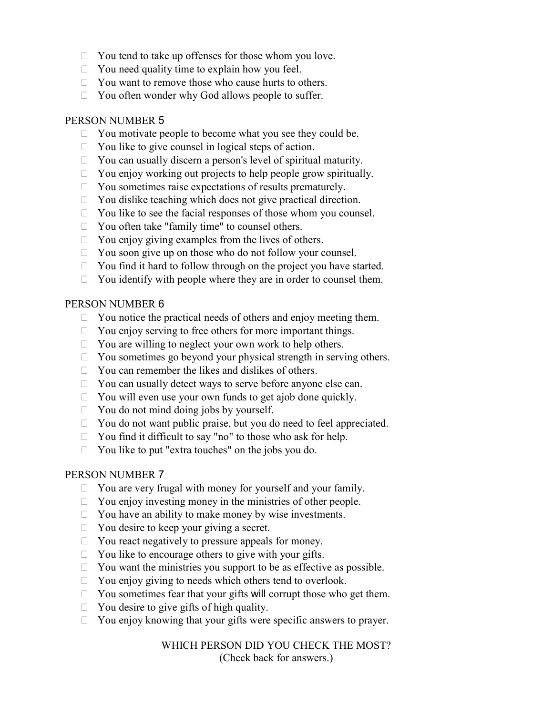You tend to take up offenses for those whom you love. You need quality time to explain how you feel. You want to remove those who cause hurts to others. You often wonder why God allows people to suffer.

#### PERSON NUMBER 5

 You motivate people to become what you see they could be. You like to give counsel in logical steps of action. You can usually discern a person's level of spiritual maturity. You enjoy working out projects to help people grow spiritually. You sometimes raise expectations of results prematurely. You dislike teaching which does not give practical direction. You like to see the facial responses of those whom you counsel. You often take "family time" to counsel others. You enjoy giving examples from the lives of others. You soon give up on those who do not follow your counsel. You find it hard to follow through on the project you have started. You identify with people where they are in order to counsel them.

## PERSON NUMBER 6

 You notice the practical needs of others and enjoy meeting them. You enjoy serving to free others for more important things. You are willing to neglect your own work to help others. You sometimes go beyond your physical strength in serving others. You can remember the likes and dislikes of others. You can usually detect ways to serve before anyone else can. You will even use your own funds to get ajob done quickly. You do not mind doing jobs by yourself. You do not want public praise, but you do need to feel appreciated. You find it difficult to say "no" to those who ask for help. You like to put "extra touches" on the jobs you do.

#### PERSON NUMBER 7

 You are very frugal with money for yourself and your family. You enjoy investing money in the ministries of other people. You have an ability to make money by wise investments. You desire to keep your giving a secret. You react negatively to pressure appeals for money. You like to encourage others to give with your gifts. You want the ministries you support to be as effective as possible. You enjoy giving to needs which others tend to overlook. You sometimes fear that your gifts will corrupt those who get them. You desire to give gifts of high quality. You enjoy knowing that your gifts were specific answers to prayer.

> WHICH PERSON DID YOU CHECK THE MOST? (Check back for answers.)